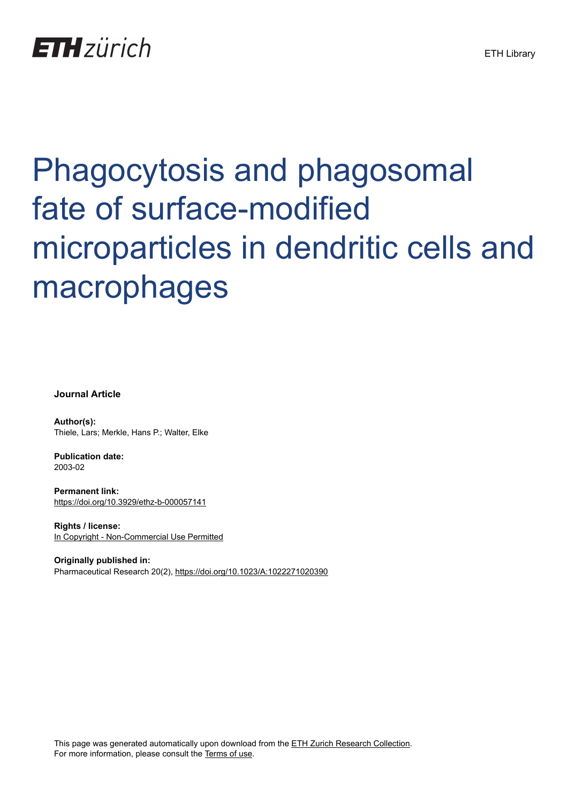

# Phagocytosis and phagosomal fate of surface-modified microparticles in dendritic cells and macrophages

**Journal Article**

**Author(s):** Thiele, Lars; Merkle, Hans P.; Walter, Elke

**Publication date:** 2003-02

**Permanent link:** <https://doi.org/10.3929/ethz-b-000057141>

**Rights / license:** [In Copyright - Non-Commercial Use Permitted](http://rightsstatements.org/page/InC-NC/1.0/)

**Originally published in:** Pharmaceutical Research 20(2), <https://doi.org/10.1023/A:1022271020390>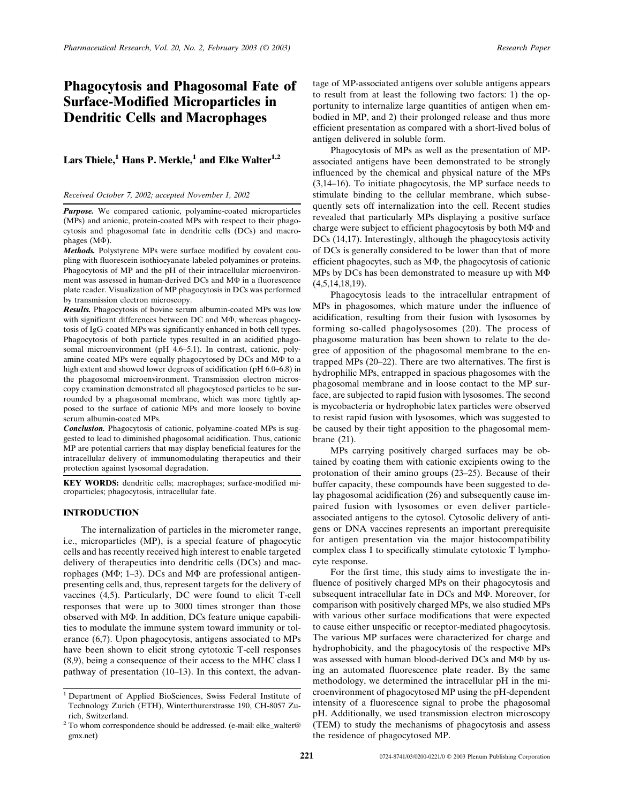# **Phagocytosis and Phagosomal Fate of Surface-Modified Microparticles in Dendritic Cells and Macrophages**

# Lars Thiele,<sup>1</sup> Hans P. Merkle,<sup>1</sup> and Elke Walter<sup>1,2</sup>

#### *Received October 7, 2002; accepted November 1, 2002*

*Purpose.* We compared cationic, polyamine-coated microparticles (MPs) and anionic, protein-coated MPs with respect to their phagocytosis and phagosomal fate in dendritic cells (DCs) and macrophages  $(M\Phi)$ .

*Methods.* Polystyrene MPs were surface modified by covalent coupling with fluorescein isothiocyanate-labeled polyamines or proteins. Phagocytosis of MP and the pH of their intracellular microenvironment was assessed in human-derived DCs and MФ in a fluorescence plate reader. Visualization of MP phagocytosis in DCs was performed by transmission electron microscopy.

*Results.* Phagocytosis of bovine serum albumin-coated MPs was low with significant differences between DC and MΦ, whereas phagocytosis of IgG-coated MPs was significantly enhanced in both cell types. Phagocytosis of both particle types resulted in an acidified phagosomal microenvironment (pH 4.6–5.1). In contrast, cationic, polyamine-coated MPs were equally phagocytosed by  $DCs$  and  $M\Phi$  to a high extent and showed lower degrees of acidification (pH 6.0–6.8) in the phagosomal microenvironment. Transmission electron microscopy examination demonstrated all phagocytosed particles to be surrounded by a phagosomal membrane, which was more tightly apposed to the surface of cationic MPs and more loosely to bovine serum albumin-coated MPs.

*Conclusion.* Phagocytosis of cationic, polyamine-coated MPs is suggested to lead to diminished phagosomal acidification. Thus, cationic MP are potential carriers that may display beneficial features for the intracellular delivery of immunomodulating therapeutics and their protection against lysosomal degradation.

**KEY WORDS:** dendritic cells; macrophages; surface-modified microparticles; phagocytosis, intracellular fate.

# **INTRODUCTION**

The internalization of particles in the micrometer range, i.e., microparticles (MP), is a special feature of phagocytic cells and has recently received high interest to enable targeted delivery of therapeutics into dendritic cells (DCs) and macrophages ( $M\Phi$ ; 1–3). DCs and  $M\Phi$  are professional antigenpresenting cells and, thus, represent targets for the delivery of vaccines (4,5). Particularly, DC were found to elicit T-cell responses that were up to 3000 times stronger than those observed with M $\Phi$ . In addition, DCs feature unique capabilities to modulate the immune system toward immunity or tolerance (6,7). Upon phagocytosis, antigens associated to MPs have been shown to elicit strong cytotoxic T-cell responses (8,9), being a consequence of their access to the MHC class I pathway of presentation (10–13). In this context, the advantage of MP-associated antigens over soluble antigens appears to result from at least the following two factors: 1) the opportunity to internalize large quantities of antigen when embodied in MP, and 2) their prolonged release and thus more efficient presentation as compared with a short-lived bolus of antigen delivered in soluble form.

Phagocytosis of MPs as well as the presentation of MPassociated antigens have been demonstrated to be strongly influenced by the chemical and physical nature of the MPs (3,14–16). To initiate phagocytosis, the MP surface needs to stimulate binding to the cellular membrane, which subsequently sets off internalization into the cell. Recent studies revealed that particularly MPs displaying a positive surface charge were subject to efficient phagocytosis by both  $M\Phi$  and DCs (14,17). Interestingly, although the phagocytosis activity of DCs is generally considered to be lower than that of more efficient phagocytes, such as  $M\Phi$ , the phagocytosis of cationic MPs by DCs has been demonstrated to measure up with M $\Phi$ (4,5,14,18,19).

Phagocytosis leads to the intracellular entrapment of MPs in phagosomes, which mature under the influence of acidification, resulting from their fusion with lysosomes by forming so-called phagolysosomes (20). The process of phagosome maturation has been shown to relate to the degree of apposition of the phagosomal membrane to the entrapped MPs (20–22). There are two alternatives. The first is hydrophilic MPs, entrapped in spacious phagosomes with the phagosomal membrane and in loose contact to the MP surface, are subjected to rapid fusion with lysosomes. The second is mycobacteria or hydrophobic latex particles were observed to resist rapid fusion with lysosomes, which was suggested to be caused by their tight apposition to the phagosomal membrane (21).

MPs carrying positively charged surfaces may be obtained by coating them with cationic excipients owing to the protonation of their amino groups (23–25). Because of their buffer capacity, these compounds have been suggested to delay phagosomal acidification (26) and subsequently cause impaired fusion with lysosomes or even deliver particleassociated antigens to the cytosol. Cytosolic delivery of antigens or DNA vaccines represents an important prerequisite for antigen presentation via the major histocompatibility complex class I to specifically stimulate cytotoxic T lymphocyte response.

For the first time, this study aims to investigate the influence of positively charged MPs on their phagocytosis and subsequent intracellular fate in DCs and MΦ. Moreover, for comparison with positively charged MPs, we also studied MPs with various other surface modifications that were expected to cause either unspecific or receptor-mediated phagocytosis. The various MP surfaces were characterized for charge and hydrophobicity, and the phagocytosis of the respective MPs was assessed with human blood-derived DCs and  $M\Phi$  by using an automated fluorescence plate reader. By the same methodology, we determined the intracellular pH in the microenvironment of phagocytosed MP using the pH-dependent intensity of a fluorescence signal to probe the phagosomal pH. Additionally, we used transmission electron microscopy (TEM) to study the mechanisms of phagocytosis and assess the residence of phagocytosed MP.

<sup>1</sup> Department of Applied BioSciences, Swiss Federal Institute of Technology Zurich (ETH), Winterthurerstrasse 190, CH-8057 Zurich, Switzerland.

<sup>&</sup>lt;sup>2</sup> To whom correspondence should be addressed. (e-mail: elke walter@ gmx.net)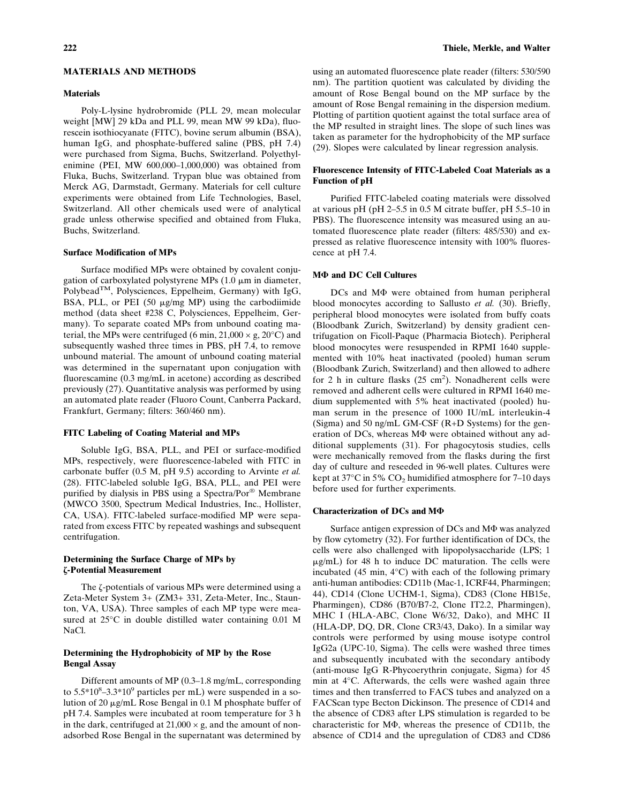# **MATERIALS AND METHODS**

#### **Materials**

Poly-L-lysine hydrobromide (PLL 29, mean molecular weight [MW] 29 kDa and PLL 99, mean MW 99 kDa), fluorescein isothiocyanate (FITC), bovine serum albumin (BSA), human IgG, and phosphate-buffered saline (PBS, pH 7.4) were purchased from Sigma, Buchs, Switzerland. Polyethylenimine (PEI, MW 600,000–1,000,000) was obtained from Fluka, Buchs, Switzerland. Trypan blue was obtained from Merck AG, Darmstadt, Germany. Materials for cell culture experiments were obtained from Life Technologies, Basel, Switzerland. All other chemicals used were of analytical grade unless otherwise specified and obtained from Fluka, Buchs, Switzerland.

#### **Surface Modification of MPs**

Surface modified MPs were obtained by covalent conjugation of carboxylated polystyrene MPs  $(1.0 \mu m)$  in diameter, Polybead<sup>TM</sup>, Polysciences, Eppelheim, Germany) with IgG, BSA, PLL, or PEI  $(50 \mu g/mg)$  MP) using the carbodiimide method (data sheet #238 C, Polysciences, Eppelheim, Germany). To separate coated MPs from unbound coating material, the MPs were centrifuged (6 min,  $21,000 \times g$ ,  $20^{\circ}$ C) and subsequently washed three times in PBS, pH 7.4, to remove unbound material. The amount of unbound coating material was determined in the supernatant upon conjugation with fluorescamine (0.3 mg/mL in acetone) according as described previously (27). Quantitative analysis was performed by using an automated plate reader (Fluoro Count, Canberra Packard, Frankfurt, Germany; filters: 360/460 nm).

# **FITC Labeling of Coating Material and MPs**

Soluble IgG, BSA, PLL, and PEI or surface-modified MPs, respectively, were fluorescence-labeled with FITC in carbonate buffer (0.5 M, pH 9.5) according to Arvinte *et al.* (28). FITC-labeled soluble IgG, BSA, PLL, and PEI were purified by dialysis in PBS using a Spectra/Por® Membrane (MWCO 3500, Spectrum Medical Industries, Inc., Hollister, CA, USA). FITC-labeled surface-modified MP were separated from excess FITC by repeated washings and subsequent centrifugation.

# **Determining the Surface Charge of MPs by -Potential Measurement**

The  $\zeta$ -potentials of various MPs were determined using a Zeta-Meter System 3+ (ZM3+ 331, Zeta-Meter, Inc., Staunton, VA, USA). Three samples of each MP type were measured at 25°C in double distilled water containing 0.01 M NaCl.

# **Determining the Hydrophobicity of MP by the Rose Bengal Assay**

Different amounts of MP (0.3–1.8 mg/mL, corresponding to  $5.5*10^8$ -3.3 $*10^9$  particles per mL) were suspended in a solution of 20  $\mu$ g/mL Rose Bengal in 0.1 M phosphate buffer of pH 7.4. Samples were incubated at room temperature for 3 h in the dark, centrifuged at  $21,000 \times g$ , and the amount of nonadsorbed Rose Bengal in the supernatant was determined by using an automated fluorescence plate reader (filters: 530/590 nm). The partition quotient was calculated by dividing the amount of Rose Bengal bound on the MP surface by the amount of Rose Bengal remaining in the dispersion medium. Plotting of partition quotient against the total surface area of the MP resulted in straight lines. The slope of such lines was taken as parameter for the hydrophobicity of the MP surface (29). Slopes were calculated by linear regression analysis.

# **Fluorescence Intensity of FITC-Labeled Coat Materials as a Function of pH**

Purified FITC-labeled coating materials were dissolved at various pH (pH 2–5.5 in 0.5 M citrate buffer, pH 5.5–10 in PBS). The fluorescence intensity was measured using an automated fluorescence plate reader (filters: 485/530) and expressed as relative fluorescence intensity with 100% fluorescence at pH 7.4.

#### **M**- **and DC Cell Cultures**

 $DCs$  and  $M\Phi$  were obtained from human peripheral blood monocytes according to Sallusto *et al.* (30). Briefly, peripheral blood monocytes were isolated from buffy coats (Bloodbank Zurich, Switzerland) by density gradient centrifugation on Ficoll-Paque (Pharmacia Biotech). Peripheral blood monocytes were resuspended in RPMI 1640 supplemented with 10% heat inactivated (pooled) human serum (Bloodbank Zurich, Switzerland) and then allowed to adhere for 2 h in culture flasks  $(25 \text{ cm}^2)$ . Nonadherent cells were removed and adherent cells were cultured in RPMI 1640 medium supplemented with 5% heat inactivated (pooled) human serum in the presence of 1000 IU/mL interleukin-4 (Sigma) and 50 ng/mL GM-CSF (R+D Systems) for the generation of DCs, whereas M $\Phi$  were obtained without any additional supplements (31). For phagocytosis studies, cells were mechanically removed from the flasks during the first day of culture and reseeded in 96-well plates. Cultures were kept at 37 $^{\circ}$ C in 5% CO<sub>2</sub> humidified atmosphere for 7–10 days before used for further experiments.

#### **Characterization of DCs and M** $\Phi$

Surface antigen expression of DCs and  $M\Phi$  was analyzed by flow cytometry (32). For further identification of DCs, the cells were also challenged with lipopolysaccharide (LPS; 1  $\mu$ g/mL) for 48 h to induce DC maturation. The cells were incubated (45 min, 4°C) with each of the following primary anti-human antibodies: CD11b (Mac-1, ICRF44, Pharmingen; 44), CD14 (Clone UCHM-1, Sigma), CD83 (Clone HB15e, Pharmingen), CD86 (B70/B7-2, Clone IT2.2, Pharmingen), MHC I (HLA-ABC, Clone W6/32, Dako), and MHC II (HLA-DP, DQ, DR, Clone CR3/43, Dako). In a similar way controls were performed by using mouse isotype control IgG2a (UPC-10, Sigma). The cells were washed three times and subsequently incubated with the secondary antibody (anti-mouse IgG R-Phycoerythrin conjugate, Sigma) for 45 min at 4°C. Afterwards, the cells were washed again three times and then transferred to FACS tubes and analyzed on a FACScan type Becton Dickinson. The presence of CD14 and the absence of CD83 after LPS stimulation is regarded to be characteristic for  $M\Phi$ , whereas the presence of CD11b, the absence of CD14 and the upregulation of CD83 and CD86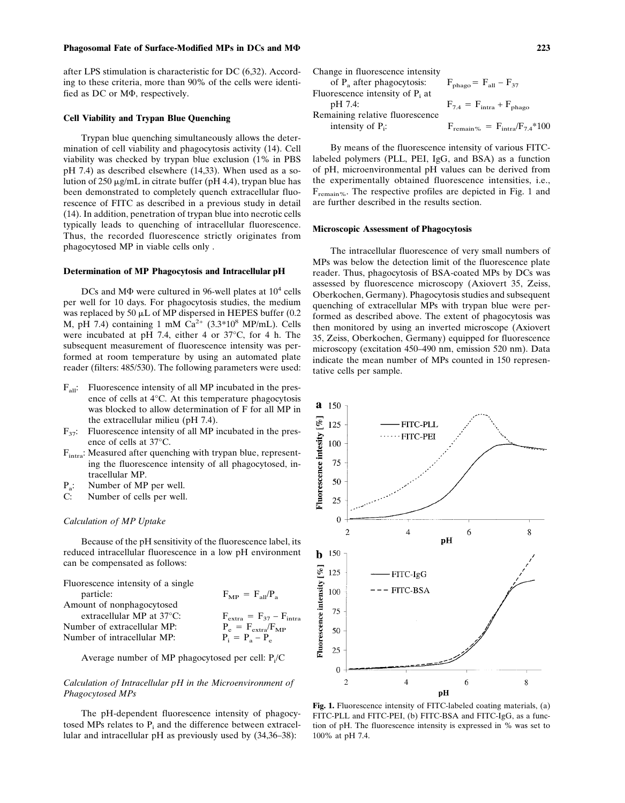# Phagosomal Fate of Surface-Modified MPs in DCs and M $\Phi$

after LPS stimulation is characteristic for DC (6,32). According to these criteria, more than 90% of the cells were identified as DC or M $\Phi$ , respectively.

#### **Cell Viability and Trypan Blue Quenching**

Trypan blue quenching simultaneously allows the determination of cell viability and phagocytosis activity (14). Cell viability was checked by trypan blue exclusion (1% in PBS pH 7.4) as described elsewhere (14,33). When used as a solution of 250  $\mu$ g/mL in citrate buffer (pH 4.4), trypan blue has been demonstrated to completely quench extracellular fluorescence of FITC as described in a previous study in detail (14). In addition, penetration of trypan blue into necrotic cells typically leads to quenching of intracellular fluorescence. Thus, the recorded fluorescence strictly originates from phagocytosed MP in viable cells only .

#### **Determination of MP Phagocytosis and Intracellular pH**

DCs and M $\Phi$  were cultured in 96-well plates at  $10^4$  cells per well for 10 days. For phagocytosis studies, the medium was replaced by 50  $\mu$ L of MP dispersed in HEPES buffer (0.2 M, pH 7.4) containing 1 mM  $Ca^{2+}$  (3.3\*10<sup>8</sup> MP/mL). Cells were incubated at pH 7.4, either 4 or 37°C, for 4 h. The subsequent measurement of fluorescence intensity was performed at room temperature by using an automated plate reader (filters: 485/530). The following parameters were used:

- $F_{\text{all}}$ : Fluorescence intensity of all MP incubated in the presence of cells at 4°C. At this temperature phagocytosis was blocked to allow determination of F for all MP in the extracellular milieu (pH 7.4).
- $F_{37}$ : Fluorescence intensity of all MP incubated in the presence of cells at 37°C.
- Fintra: Measured after quenching with trypan blue, representing the fluorescence intensity of all phagocytosed, intracellular MP.
- $P_a$ : Number of MP per well.<br>C: Number of cells per well.
- Number of cells per well.

# *Calculation of MP Uptake*

Because of the pH sensitivity of the fluorescence label, its reduced intracellular fluorescence in a low pH environment can be compensated as follows:

| Fluorescence intensity of a single  |                                                |
|-------------------------------------|------------------------------------------------|
| particle:                           | $F_{MP} = F_{all}/P_a$                         |
| Amount of nonphagocytosed           |                                                |
| extracellular MP at $37^{\circ}$ C: | $F_{\text{extra}} = F_{37} - F_{\text{intra}}$ |
| Number of extracellular MP:         | $P_e = F_{extra}/F_{MP}$                       |
| Number of intracellular MP:         | $P_i = P_a - P_e$                              |
|                                     |                                                |

Average number of MP phagocytosed per cell:  $P_i/C$ 

#### *Calculation of Intracellular pH in the Microenvironment of Phagocytosed MPs*

The pH-dependent fluorescence intensity of phagocytosed MPs relates to  $P_i$  and the difference between extracellular and intracellular pH as previously used by (34,36–38):

Change in fluorescence intensity  
of P<sub>a</sub> after phagocytosis: 
$$
F_{\text{phago}} = F_{\text{all}} - F_{37}
$$
  
Fluorescence intensity of P<sub>i</sub> at  
 $F_{\text{p}} = F_{\text{p}}$ 

Remaining relative fluorescence intensity of  $P_i$ :

pH 7.4:  $F_{7.4} = F_{\text{intra}} + F_{\text{phago}}$  $F_{\text{remain}\%} = F_{\text{intra}}/F_{7.4}*100$ 

By means of the fluorescence intensity of various FITClabeled polymers (PLL, PEI, IgG, and BSA) as a function of pH, microenvironmental pH values can be derived from the experimentally obtained fluorescence intensities, i.e., Fremain%. The respective profiles are depicted in Fig. 1 and are further described in the results section.

#### **Microscopic Assessment of Phagocytosis**

The intracellular fluorescence of very small numbers of MPs was below the detection limit of the fluorescence plate reader. Thus, phagocytosis of BSA-coated MPs by DCs was assessed by fluorescence microscopy (Axiovert 35, Zeiss, Oberkochen, Germany). Phagocytosis studies and subsequent quenching of extracellular MPs with trypan blue were performed as described above. The extent of phagocytosis was then monitored by using an inverted microscope (Axiovert 35, Zeiss, Oberkochen, Germany) equipped for fluorescence microscopy (excitation 450–490 nm, emission 520 nm). Data indicate the mean number of MPs counted in 150 representative cells per sample.



**Fig. 1.** Fluorescence intensity of FITC-labeled coating materials, (a) FITC-PLL and FITC-PEI, (b) FITC-BSA and FITC-IgG, as a function of pH. The fluorescence intensity is expressed in % was set to 100% at pH 7.4.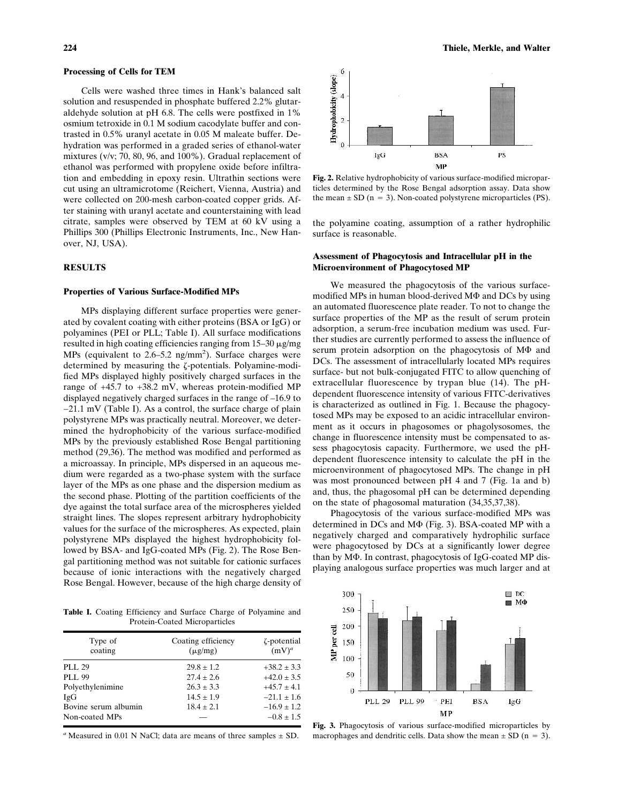#### **Processing of Cells for TEM**

Cells were washed three times in Hank's balanced salt solution and resuspended in phosphate buffered 2.2% glutaraldehyde solution at pH 6.8. The cells were postfixed in 1% osmium tetroxide in 0.1 M sodium cacodylate buffer and contrasted in 0.5% uranyl acetate in 0.05 M maleate buffer. Dehydration was performed in a graded series of ethanol-water mixtures (v/v; 70, 80, 96, and 100%). Gradual replacement of ethanol was performed with propylene oxide before infiltration and embedding in epoxy resin. Ultrathin sections were cut using an ultramicrotome (Reichert, Vienna, Austria) and were collected on 200-mesh carbon-coated copper grids. After staining with uranyl acetate and counterstaining with lead citrate, samples were observed by TEM at 60 kV using a Phillips 300 (Phillips Electronic Instruments, Inc., New Hanover, NJ, USA).

# **RESULTS**

# **Properties of Various Surface-Modified MPs**

MPs displaying different surface properties were generated by covalent coating with either proteins (BSA or IgG) or polyamines (PEI or PLL; Table I). All surface modifications resulted in high coating efficiencies ranging from  $15-30 \mu g/mg$ MPs (equivalent to 2.6–5.2 ng/mm<sup>2</sup>). Surface charges were determined by measuring the  $\zeta$ -potentials. Polyamine-modified MPs displayed highly positively charged surfaces in the range of +45.7 to +38.2 mV, whereas protein-modified MP displayed negatively charged surfaces in the range of –16.9 to −21.1 mV (Table I). As a control, the surface charge of plain polystyrene MPs was practically neutral. Moreover, we determined the hydrophobicity of the various surface-modified MPs by the previously established Rose Bengal partitioning method (29,36). The method was modified and performed as a microassay. In principle, MPs dispersed in an aqueous medium were regarded as a two-phase system with the surface layer of the MPs as one phase and the dispersion medium as the second phase. Plotting of the partition coefficients of the dye against the total surface area of the microspheres yielded straight lines. The slopes represent arbitrary hydrophobicity values for the surface of the microspheres. As expected, plain polystyrene MPs displayed the highest hydrophobicity followed by BSA- and IgG-coated MPs (Fig. 2). The Rose Bengal partitioning method was not suitable for cationic surfaces because of ionic interactions with the negatively charged Rose Bengal. However, because of the high charge density of

**Table I.** Coating Efficiency and Surface Charge of Polyamine and Protein-Coated Microparticles

| Type of<br>coating   | Coating efficiency<br>$(\mu g/mg)$ | ζ-potential<br>$(mV)^a$ |
|----------------------|------------------------------------|-------------------------|
| <b>PLL 29</b>        | $29.8 + 1.2$                       | $+38.2 \pm 3.3$         |
| <b>PLL 99</b>        | $27.4 + 2.6$                       | $+42.0 \pm 3.5$         |
| Polyethylenimine     | $26.3 + 3.3$                       | $+45.7 \pm 4.1$         |
| IgG                  | $14.5 \pm 1.9$                     | $-21.1 \pm 1.6$         |
| Bovine serum albumin | $18.4 \pm 2.1$                     | $-16.9 \pm 1.2$         |
| Non-coated MPs       |                                    | $-0.8 \pm 1.5$          |

<sup>*a*</sup> Measured in 0.01 N NaCl; data are means of three samples  $\pm$  SD.



**Fig. 2.** Relative hydrophobicity of various surface-modified microparticles determined by the Rose Bengal adsorption assay. Data show the mean  $\pm$  SD (n = 3). Non-coated polystyrene microparticles (PS).

the polyamine coating, assumption of a rather hydrophilic surface is reasonable.

# **Assessment of Phagocytosis and Intracellular pH in the Microenvironment of Phagocytosed MP**

We measured the phagocytosis of the various surfacemodified MPs in human blood-derived MФ and DCs by using an automated fluorescence plate reader. To not to change the surface properties of the MP as the result of serum protein adsorption, a serum-free incubation medium was used. Further studies are currently performed to assess the influence of serum protein adsorption on the phagocytosis of  $M\Phi$  and DCs. The assessment of intracellularly located MPs requires surface- but not bulk-conjugated FITC to allow quenching of extracellular fluorescence by trypan blue (14). The pHdependent fluorescence intensity of various FITC-derivatives is characterized as outlined in Fig. 1. Because the phagocytosed MPs may be exposed to an acidic intracellular environment as it occurs in phagosomes or phagolysosomes, the change in fluorescence intensity must be compensated to assess phagocytosis capacity. Furthermore, we used the pHdependent fluorescence intensity to calculate the pH in the microenvironment of phagocytosed MPs. The change in pH was most pronounced between pH 4 and 7 (Fig. 1a and b) and, thus, the phagosomal pH can be determined depending on the state of phagosomal maturation (34,35,37,38).

Phagocytosis of the various surface-modified MPs was determined in DCs and  $M\Phi$  (Fig. 3). BSA-coated MP with a negatively charged and comparatively hydrophilic surface were phagocytosed by DCs at a significantly lower degree than by  $M\Phi$ . In contrast, phagocytosis of IgG-coated MP displaying analogous surface properties was much larger and at



**Fig. 3.** Phagocytosis of various surface-modified microparticles by macrophages and dendritic cells. Data show the mean  $\pm$  SD (n = 3).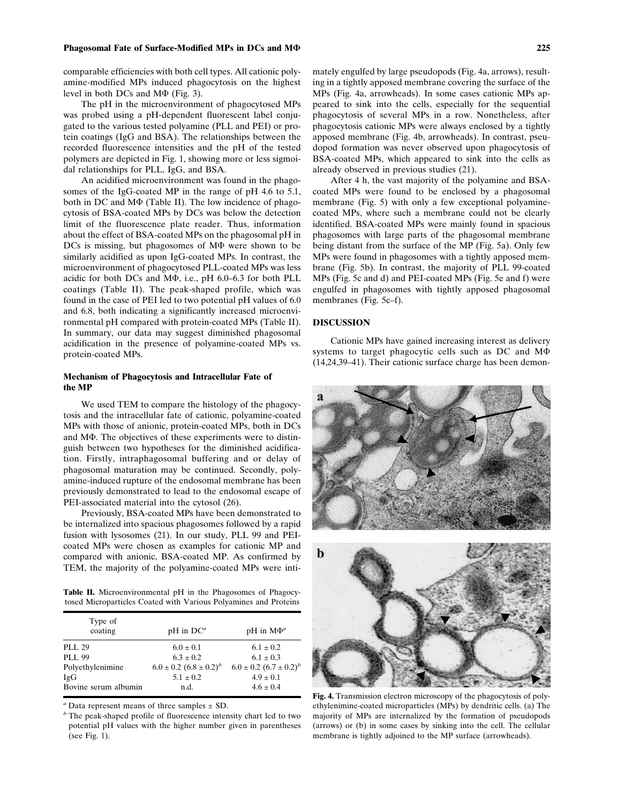# Phagosomal Fate of Surface-Modified MPs in DCs and M $\Phi$

comparable efficiencies with both cell types. All cationic polyamine-modified MPs induced phagocytosis on the highest level in both DCs and  $M\Phi$  (Fig. 3).

The pH in the microenvironment of phagocytosed MPs was probed using a pH-dependent fluorescent label conjugated to the various tested polyamine (PLL and PEI) or protein coatings (IgG and BSA). The relationships between the recorded fluorescence intensities and the pH of the tested polymers are depicted in Fig. 1, showing more or less sigmoidal relationships for PLL, IgG, and BSA.

An acidified microenvironment was found in the phagosomes of the IgG-coated MP in the range of pH 4.6 to 5.1, both in DC and  $M\Phi$  (Table II). The low incidence of phagocytosis of BSA-coated MPs by DCs was below the detection limit of the fluorescence plate reader. Thus, information about the effect of BSA-coated MPs on the phagosomal pH in  $DCs$  is missing, but phagosomes of  $M\Phi$  were shown to be similarly acidified as upon IgG-coated MPs. In contrast, the microenvironment of phagocytosed PLL-coated MPs was less acidic for both DCs and  $M\Phi$ , i.e., pH 6.0–6.3 for both PLL coatings (Table II). The peak-shaped profile, which was found in the case of PEI led to two potential pH values of 6.0 and 6.8, both indicating a significantly increased microenvironmental pH compared with protein-coated MPs (Table II). In summary, our data may suggest diminished phagosomal acidification in the presence of polyamine-coated MPs vs. protein-coated MPs.

# **Mechanism of Phagocytosis and Intracellular Fate of the MP**

We used TEM to compare the histology of the phagocytosis and the intracellular fate of cationic, polyamine-coated MPs with those of anionic, protein-coated MPs, both in DCs and M $\Phi$ . The objectives of these experiments were to distinguish between two hypotheses for the diminished acidification. Firstly, intraphagosomal buffering and or delay of phagosomal maturation may be continued. Secondly, polyamine-induced rupture of the endosomal membrane has been previously demonstrated to lead to the endosomal escape of PEI-associated material into the cytosol (26).

Previously, BSA-coated MPs have been demonstrated to be internalized into spacious phagosomes followed by a rapid fusion with lysosomes (21). In our study, PLL 99 and PEIcoated MPs were chosen as examples for cationic MP and compared with anionic, BSA-coated MP. As confirmed by TEM, the majority of the polyamine-coated MPs were inti-

**Table II.** Microenvironmental pH in the Phagosomes of Phagocytosed Microparticles Coated with Various Polyamines and Proteins

| Type of<br>coating   | $pH$ in $DC^a$                    | pH in $M\Phi^a$                   |
|----------------------|-----------------------------------|-----------------------------------|
| <b>PLL 29</b>        | $6.0 + 0.1$                       | $6.1 \pm 0.2$                     |
| <b>PLL 99</b>        | $6.3 + 0.2$                       | $6.1 \pm 0.3$                     |
| Polyethylenimine     | $6.0 \pm 0.2$ $(6.8 \pm 0.2)^{b}$ | $6.0 \pm 0.2$ $(6.7 \pm 0.2)^{b}$ |
| <b>IgG</b>           | $5.1 \pm 0.2$                     | $4.9 \pm 0.1$                     |
| Bovine serum albumin | n.d.                              | $4.6 \pm 0.4$                     |

 $a$  Data represent means of three samples  $\pm$  SD.

*<sup>b</sup>* The peak-shaped profile of fluorescence intensity chart led to two potential pH values with the higher number given in parentheses (see Fig. 1).

mately engulfed by large pseudopods (Fig. 4a, arrows), resulting in a tightly apposed membrane covering the surface of the MPs (Fig. 4a, arrowheads). In some cases cationic MPs appeared to sink into the cells, especially for the sequential phagocytosis of several MPs in a row. Nonetheless, after phagocytosis cationic MPs were always enclosed by a tightly apposed membrane (Fig. 4b, arrowheads). In contrast, pseudopod formation was never observed upon phagocytosis of BSA-coated MPs, which appeared to sink into the cells as already observed in previous studies (21).

After 4 h, the vast majority of the polyamine and BSAcoated MPs were found to be enclosed by a phagosomal membrane (Fig. 5) with only a few exceptional polyaminecoated MPs, where such a membrane could not be clearly identified. BSA-coated MPs were mainly found in spacious phagosomes with large parts of the phagosomal membrane being distant from the surface of the MP (Fig. 5a). Only few MPs were found in phagosomes with a tightly apposed membrane (Fig. 5b). In contrast, the majority of PLL 99-coated MPs (Fig. 5c and d) and PEI-coated MPs (Fig. 5e and f) were engulfed in phagosomes with tightly apposed phagosomal membranes (Fig. 5c–f).

# **DISCUSSION**

Cationic MPs have gained increasing interest as delivery systems to target phagocytic cells such as DC and M (14,24,39–41). Their cationic surface charge has been demon-



**Fig. 4.** Transmission electron microscopy of the phagocytosis of polyethylenimine-coated microparticles (MPs) by dendritic cells. (a) The majority of MPs are internalized by the formation of pseudopods (arrows) or (b) in some cases by sinking into the cell. The cellular membrane is tightly adjoined to the MP surface (arrowheads).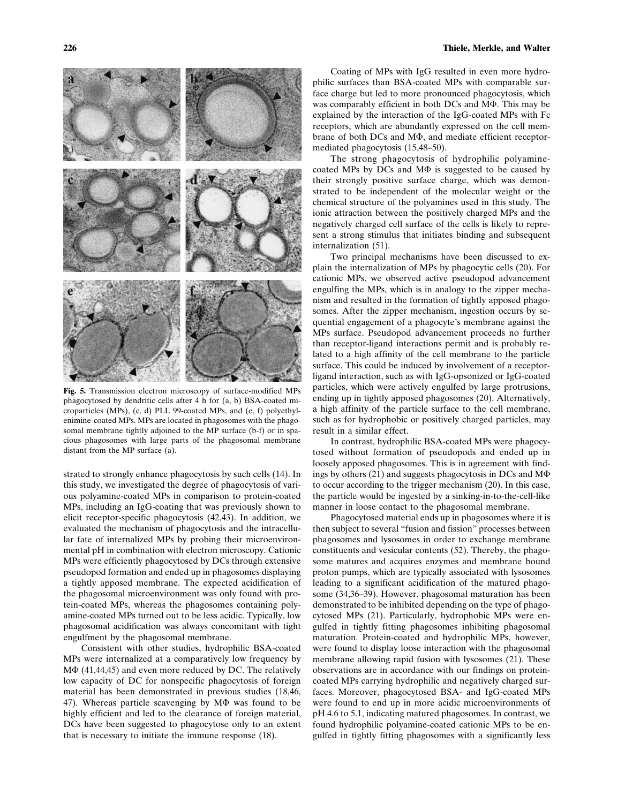

**Fig. 5.** Transmission electron microscopy of surface-modified MPs phagocytosed by dendritic cells after 4 h for (a, b) BSA-coated microparticles (MPs), (c, d) PLL 99-coated MPs, and (e, f) polyethylenimine-coated MPs. MPs are located in phagosomes with the phagosomal membrane tightly adjoined to the MP surface (b-f) or in spacious phagosomes with large parts of the phagosomal membrane distant from the MP surface (a).

strated to strongly enhance phagocytosis by such cells (14). In this study, we investigated the degree of phagocytosis of various polyamine-coated MPs in comparison to protein-coated MPs, including an IgG-coating that was previously shown to elicit receptor-specific phagocytosis (42,43). In addition, we evaluated the mechanism of phagocytosis and the intracellular fate of internalized MPs by probing their microenvironmental pH in combination with electron microscopy. Cationic MPs were efficiently phagocytosed by DCs through extensive pseudopod formation and ended up in phagosomes displaying a tightly apposed membrane. The expected acidification of the phagosomal microenvironment was only found with protein-coated MPs, whereas the phagosomes containing polyamine-coated MPs turned out to be less acidic. Typically, low phagosomal acidification was always concomitant with tight engulfment by the phagosomal membrane.

Consistent with other studies, hydrophilic BSA-coated MPs were internalized at a comparatively low frequency by  $M\Phi$  (41,44,45) and even more reduced by DC. The relatively low capacity of DC for nonspecific phagocytosis of foreign material has been demonstrated in previous studies (18,46, 47). Whereas particle scavenging by  $M\Phi$  was found to be highly efficient and led to the clearance of foreign material, DCs have been suggested to phagocytose only to an extent that is necessary to initiate the immune response (18).

Coating of MPs with IgG resulted in even more hydrophilic surfaces than BSA-coated MPs with comparable surface charge but led to more pronounced phagocytosis, which was comparably efficient in both DCs and M $\Phi$ . This may be explained by the interaction of the IgG-coated MPs with Fc receptors, which are abundantly expressed on the cell membrane of both DCs and MФ, and mediate efficient receptormediated phagocytosis (15,48–50).

The strong phagocytosis of hydrophilic polyaminecoated MPs by DCs and  $M\Phi$  is suggested to be caused by their strongly positive surface charge, which was demonstrated to be independent of the molecular weight or the chemical structure of the polyamines used in this study. The ionic attraction between the positively charged MPs and the negatively charged cell surface of the cells is likely to represent a strong stimulus that initiates binding and subsequent internalization (51).

Two principal mechanisms have been discussed to explain the internalization of MPs by phagocytic cells (20). For cationic MPs, we observed active pseudopod advancement engulfing the MPs, which is in analogy to the zipper mechanism and resulted in the formation of tightly apposed phagosomes. After the zipper mechanism, ingestion occurs by sequential engagement of a phagocyte's membrane against the MPs surface. Pseudopod advancement proceeds no further than receptor-ligand interactions permit and is probably related to a high affinity of the cell membrane to the particle surface. This could be induced by involvement of a receptorligand interaction, such as with IgG-opsonized or IgG-coated particles, which were actively engulfed by large protrusions, ending up in tightly apposed phagosomes (20). Alternatively, a high affinity of the particle surface to the cell membrane, such as for hydrophobic or positively charged particles, may result in a similar effect.

In contrast, hydrophilic BSA-coated MPs were phagocytosed without formation of pseudopods and ended up in loosely apposed phagosomes. This is in agreement with findings by others  $(21)$  and suggests phagocytosis in DCs and M $\Phi$ to occur according to the trigger mechanism (20). In this case, the particle would be ingested by a sinking-in-to-the-cell-like manner in loose contact to the phagosomal membrane.

Phagocytosed material ends up in phagosomes where it is then subject to several "fusion and fission" processes between phagosomes and lysosomes in order to exchange membrane constituents and vesicular contents (52). Thereby, the phagosome matures and acquires enzymes and membrane bound proton pumps, which are typically associated with lysosomes leading to a significant acidification of the matured phagosome (34,36–39). However, phagosomal maturation has been demonstrated to be inhibited depending on the type of phagocytosed MPs (21). Particularly, hydrophobic MPs were engulfed in tightly fitting phagosomes inhibiting phagosomal maturation. Protein-coated and hydrophilic MPs, however, were found to display loose interaction with the phagosomal membrane allowing rapid fusion with lysosomes (21). These observations are in accordance with our findings on proteincoated MPs carrying hydrophilic and negatively charged surfaces. Moreover, phagocytosed BSA- and IgG-coated MPs were found to end up in more acidic microenvironments of pH 4.6 to 5.1, indicating matured phagosomes. In contrast, we found hydrophilic polyamine-coated cationic MPs to be engulfed in tightly fitting phagosomes with a significantly less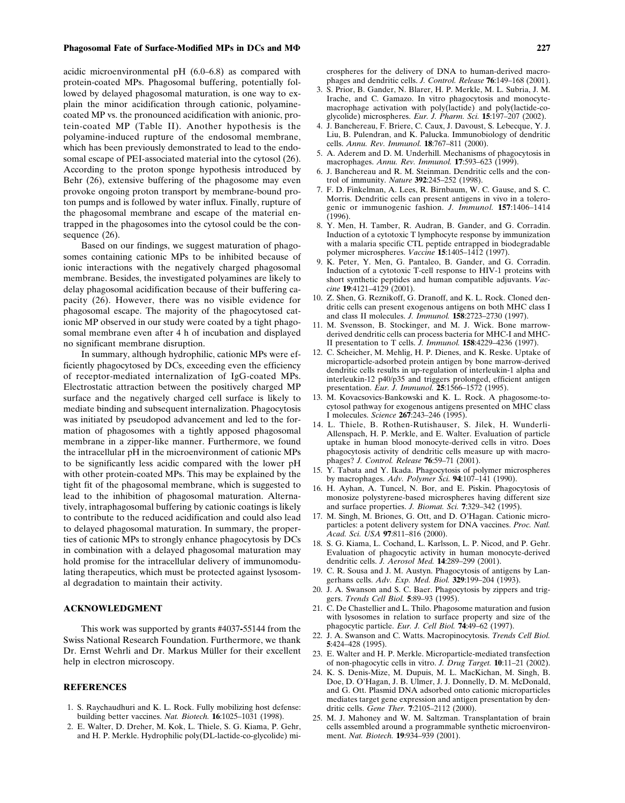#### Phagosomal Fate of Surface-Modified MPs in DCs and M $\Phi$

acidic microenvironmental pH (6.0–6.8) as compared with protein-coated MPs. Phagosomal buffering, potentially followed by delayed phagosomal maturation, is one way to explain the minor acidification through cationic, polyaminecoated MP vs. the pronounced acidification with anionic, protein-coated MP (Table II). Another hypothesis is the polyamine-induced rupture of the endosomal membrane, which has been previously demonstrated to lead to the endosomal escape of PEI-associated material into the cytosol (26). According to the proton sponge hypothesis introduced by Behr (26), extensive buffering of the phagosome may even provoke ongoing proton transport by membrane-bound proton pumps and is followed by water influx. Finally, rupture of the phagosomal membrane and escape of the material entrapped in the phagosomes into the cytosol could be the consequence  $(26)$ .

Based on our findings, we suggest maturation of phagosomes containing cationic MPs to be inhibited because of ionic interactions with the negatively charged phagosomal membrane. Besides, the investigated polyamines are likely to delay phagosomal acidification because of their buffering capacity (26). However, there was no visible evidence for phagosomal escape. The majority of the phagocytosed cationic MP observed in our study were coated by a tight phagosomal membrane even after 4 h of incubation and displayed no significant membrane disruption.

In summary, although hydrophilic, cationic MPs were efficiently phagocytosed by DCs, exceeding even the efficiency of receptor-mediated internalization of IgG-coated MPs. Electrostatic attraction between the positively charged MP surface and the negatively charged cell surface is likely to mediate binding and subsequent internalization. Phagocytosis was initiated by pseudopod advancement and led to the formation of phagosomes with a tightly apposed phagosomal membrane in a zipper-like manner. Furthermore, we found the intracellular pH in the microenvironment of cationic MPs to be significantly less acidic compared with the lower pH with other protein-coated MPs. This may be explained by the tight fit of the phagosomal membrane, which is suggested to lead to the inhibition of phagosomal maturation. Alternatively, intraphagosomal buffering by cationic coatings is likely to contribute to the reduced acidification and could also lead to delayed phagosomal maturation. In summary, the properties of cationic MPs to strongly enhance phagocytosis by DCs in combination with a delayed phagosomal maturation may hold promise for the intracellular delivery of immunomodulating therapeutics, which must be protected against lysosomal degradation to maintain their activity.

# **ACKNOWLEDGMENT**

This work was supported by grants #4037**-**55144 from the Swiss National Research Foundation. Furthermore, we thank Dr. Ernst Wehrli and Dr. Markus Müller for their excellent help in electron microscopy.

# **REFERENCES**

- 1. S. Raychaudhuri and K. L. Rock. Fully mobilizing host defense: building better vaccines. *Nat. Biotech.* **16**:1025–1031 (1998).
- 2. E. Walter, D. Dreher, M. Kok, L. Thiele, S. G. Kiama, P. Gehr, and H. P. Merkle. Hydrophilic poly(DL-lactide-co-glycolide) mi-

crospheres for the delivery of DNA to human-derived macrophages and dendritic cells. *J. Control. Release* **76**:149–168 (2001).

- 3. S. Prior, B. Gander, N. Blarer, H. P. Merkle, M. L. Subria, J. M. Irache, and C. Gamazo. In vitro phagocytosis and monocytemacrophage activation with poly(lactide) and poly(lactide-coglycolide) microspheres. *Eur. J. Pharm. Sci.* **15**:197–207 (2002).
- 4. J. Banchereau, F. Briere, C. Caux, J. Davoust, S. Lebecque, Y. J. Liu, B. Pulendran, and K. Palucka. Immunobiology of dendritic cells. *Annu. Rev. Immunol.* **18**:767–811 (2000).
- 5. A. Aderem and D. M. Underhill. Mechanisms of phagocytosis in macrophages. *Annu. Rev. Immunol.* **17**:593–623 (1999).
- 6. J. Banchereau and R. M. Steinman. Dendritic cells and the control of immunity. *Nature* **392**:245–252 (1998).
- 7. F. D. Finkelman, A. Lees, R. Birnbaum, W. C. Gause, and S. C. Morris. Dendritic cells can present antigens in vivo in a tolerogenic or immunogenic fashion. *J. Immunol.* **157**:1406–1414 (1996).
- 8. Y. Men, H. Tamber, R. Audran, B. Gander, and G. Corradin. Induction of a cytotoxic T lymphocyte response by immunization with a malaria specific CTL peptide entrapped in biodegradable polymer microspheres. *Vaccine* **15**:1405–1412 (1997).
- 9. K. Peter, Y. Men, G. Pantaleo, B. Gander, and G. Corradin. Induction of a cytotoxic T-cell response to HIV-1 proteins with short synthetic peptides and human compatible adjuvants. *Vaccine* **19**:4121–4129 (2001).
- 10. Z. Shen, G. Reznikoff, G. Dranoff, and K. L. Rock. Cloned dendritic cells can present exogenous antigens on both MHC class I and class II molecules. *J. Immunol.* **158**:2723–2730 (1997).
- 11. M. Svensson, B. Stockinger, and M. J. Wick. Bone marrowderived dendritic cells can process bacteria for MHC-I and MHC-II presentation to T cells. *J. Immunol.* **158**:4229–4236 (1997).
- 12. C. Scheicher, M. Mehlig, H. P. Dienes, and K. Reske. Uptake of microparticle-adsorbed protein antigen by bone marrow-derived dendritic cells results in up-regulation of interleukin-1 alpha and interleukin-12 p40/p35 and triggers prolonged, efficient antigen presentation. *Eur. J. Immunol.* **25**:1566–1572 (1995).
- 13. M. Kovacsovics-Bankowski and K. L. Rock. A phagosome-tocytosol pathway for exogenous antigens presented on MHC class I molecules. *Science* **267**:243–246 (1995).
- 14. L. Thiele, B. Rothen-Rutishauser, S. Jilek, H. Wunderli-Allenspach, H. P. Merkle, and E. Walter. Evaluation of particle uptake in human blood monocyte-derived cells in vitro. Does phagocytosis activity of dendritic cells measure up with macrophages? *J. Control. Release* **76**:59–71 (2001).
- 15. Y. Tabata and Y. Ikada. Phagocytosis of polymer microspheres by macrophages. *Adv. Polymer Sci.* **94**:107–141 (1990).
- 16. H. Ayhan, A. Tuncel, N. Bor, and E. Piskin. Phagocytosis of monosize polystyrene-based microspheres having different size and surface properties. *J. Biomat. Sci.* **7**:329–342 (1995).
- 17. M. Singh, M. Briones, G. Ott, and D. O'Hagan. Cationic microparticles: a potent delivery system for DNA vaccines. *Proc. Natl. Acad. Sci. USA* **97**:811–816 (2000).
- 18. S. G. Kiama, L. Cochand, L. Karlsson, L. P. Nicod, and P. Gehr. Evaluation of phagocytic activity in human monocyte-derived dendritic cells. *J. Aerosol Med.* **14**:289–299 (2001).
- 19. C. R. Sousa and J. M. Austyn. Phagocytosis of antigens by Langerhans cells. *Adv. Exp. Med. Biol.* **329**:199–204 (1993).
- 20. J. A. Swanson and S. C. Baer. Phagocytosis by zippers and triggers. *Trends Cell Biol.* **5**:89–93 (1995).
- 21. C. De Chastellier and L. Thilo. Phagosome maturation and fusion with lysosomes in relation to surface property and size of the phagocytic particle. *Eur. J. Cell Biol.* **74**:49–62 (1997).
- 22. J. A. Swanson and C. Watts. Macropinocytosis. *Trends Cell Biol.* **5**:424–428 (1995).
- 23. E. Walter and H. P. Merkle. Microparticle-mediated transfection of non-phagocytic cells in vitro. *J. Drug Target.* **10**:11–21 (2002).
- 24. K. S. Denis-Mize, M. Dupuis, M. L. MacKichan, M. Singh, B. Doe, D. O'Hagan, J. B. Ulmer, J. J. Donnelly, D. M. McDonald, and G. Ott. Plasmid DNA adsorbed onto cationic microparticles mediates target gene expression and antigen presentation by dendritic cells. *Gene Ther.* **7**:2105–2112 (2000).
- 25. M. J. Mahoney and W. M. Saltzman. Transplantation of brain cells assembled around a programmable synthetic microenvironment. *Nat. Biotech.* **19**:934–939 (2001).